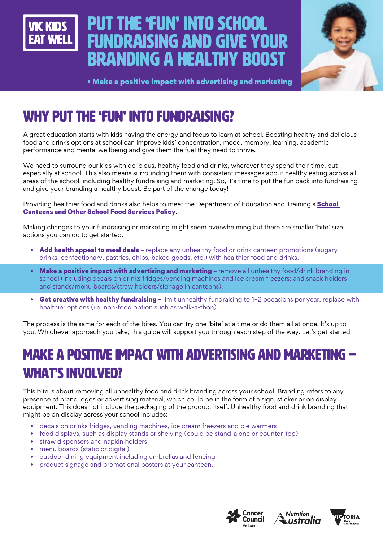

# Put the 'fun' into school fundraising and give your branding a healthy boost



• Make a positive impact with advertising and marketing

## WHY PUT THE 'FUN' INTO FUNDRAISING?

A great education starts with kids having the energy and focus to learn at school. Boosting healthy and delicious food and drinks options at school can improve kids' concentration, mood, memory, learning, academic performance and mental wellbeing and give them the fuel they need to thrive.

We need to surround our kids with delicious, healthy food and drinks, wherever they spend their time, but especially at school. This also means surrounding them with consistent messages about healthy eating across all areas of the school, including healthy fundraising and marketing. So, it's time to put the fun back into fundraising and give your branding a healthy boost. Be part of the change today!

Providing healthier food and drinks also helps to meet the Department of Education and Training's **School** [Canteens and Other School Food Services Policy](https://www2.education.vic.gov.au/pal/canteens-and-healthy-eating/policy).

Making changes to your fundraising or marketing might seem overwhelming but there are smaller 'bite' size actions you can do to get started.

- Add health appeal to meal deals replace any unhealthy food or drink canteen promotions (sugary drinks, confectionary, pastries, chips, baked goods, etc.) with healthier food and drinks.
- Make a positive impact with advertising and marketing remove all unhealthy food/drink branding in school (including decals on drinks fridges/vending machines and ice cream freezers; and snack holders and stands/menu boards/straw holders/signage in canteens).
- Get creative with healthy fundraising limit unhealthy fundraising to 1-2 occasions per year, replace with healthier options (i.e. non-food option such as walk-a-thon).

The process is the same for each of the bites. You can try one 'bite' at a time or do them all at once. It's up to you. Whichever approach you take, this guide will support you through each step of the way. Let's get started!

## MAKE A POSITIVE IMPACT WITH ADVERTISING AND MARKETING – WHAT'S INVOLVED?

This bite is about removing all unhealthy food and drink branding across your school. Branding refers to any presence of brand logos or advertising material, which could be in the form of a sign, sticker or on display equipment. This does not include the packaging of the product itself. Unhealthy food and drink branding that might be on display across your school includes:

- decals on drinks fridges, vending machines, ice cream freezers and pie warmers
- food displays, such as display stands or shelving (could be stand-alone or counter-top)
- straw dispensers and napkin holders
- menu boards (static or digital)
- outdoor dining equipment including umbrellas and fencing
- product signage and promotional posters at your canteen.





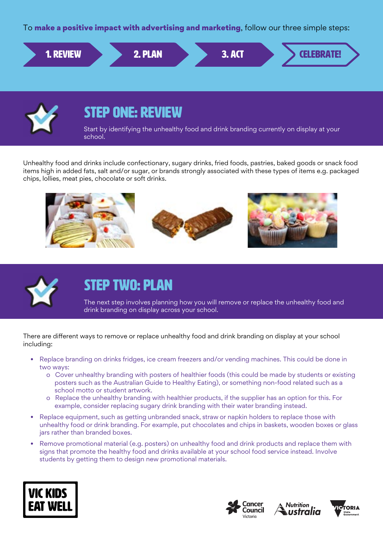To make a positive impact with advertising and marketing, follow our three simple steps:





### STEP ONE: REVIEW

Start by identifying the unhealthy food and drink branding currently on display at your school.

Unhealthy food and drinks include confectionary, sugary drinks, fried foods, pastries, baked goods or snack food items high in added fats, salt and/or sugar, or brands strongly associated with these types of items e.g. packaged chips, lollies, meat pies, chocolate or soft drinks.





### STEP TWO: PLAN

The next step involves planning how you will remove or replace the unhealthy food and drink branding on display across your school.

There are different ways to remove or replace unhealthy food and drink branding on display at your school including:

- Replace branding on drinks fridges, ice cream freezers and/or vending machines. This could be done in two ways:
	- o Cover unhealthy branding with posters of healthier foods (this could be made by students or existing posters such as the Australian Guide to Healthy Eating), or something non-food related such as a school motto or student artwork.
	- o Replace the unhealthy branding with healthier products, if the supplier has an option for this. For example, consider replacing sugary drink branding with their water branding instead.
- Replace equipment, such as getting unbranded snack, straw or napkin holders to replace those with unhealthy food or drink branding. For example, put chocolates and chips in baskets, wooden boxes or glass jars rather than branded boxes.
- Remove promotional material (e.g. posters) on unhealthy food and drink products and replace them with signs that promote the healthy food and drinks available at your school food service instead. Involve students by getting them to design new promotional materials.







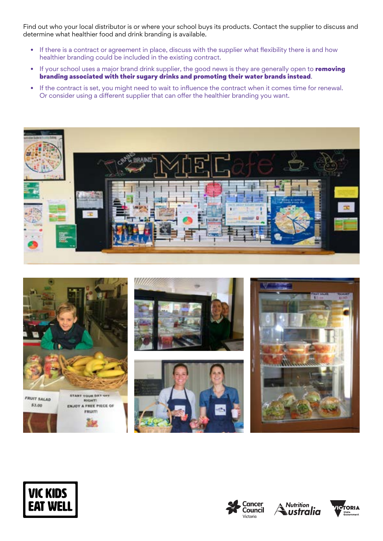Find out who your local distributor is or where your school buys its products. Contact the supplier to discuss and determine what healthier food and drink branding is available.

- If there is a contract or agreement in place, discuss with the supplier what flexibility there is and how healthier branding could be included in the existing contract.
- If your school uses a major brand drink supplier, the good news is they are generally open to removing branding associated with their sugary drinks and promoting their water brands instead.
- If the contract is set, you might need to wait to influence the contract when it comes time for renewal. Or consider using a different supplier that can offer the healthier branding you want.











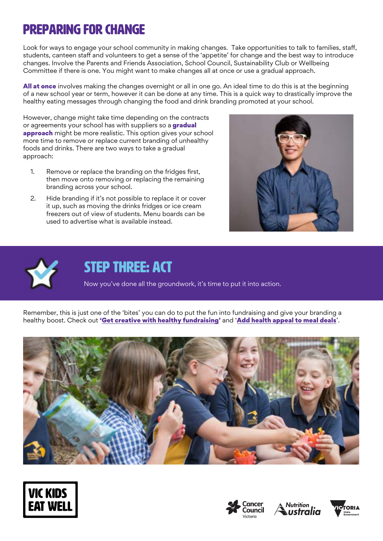## Preparing for change

Look for ways to engage your school community in making changes. Take opportunities to talk to families, staff, students, canteen staff and volunteers to get a sense of the 'appetite' for change and the best way to introduce changes. Involve the Parents and Friends Association, School Council, Sustainability Club or Wellbeing Committee if there is one. You might want to make changes all at once or use a gradual approach.

**All at once** involves making the changes overnight or all in one go. An ideal time to do this is at the beginning of a new school year or term, however it can be done at any time. This is a quick way to drastically improve the healthy eating messages through changing the food and drink branding promoted at your school.

However, change might take time depending on the contracts or agreements your school has with suppliers so a gradual approach might be more realistic. This option gives your school more time to remove or replace current branding of unhealthy foods and drinks. There are two ways to take a gradual approach:

- 1. Remove or replace the branding on the fridges first, then move onto removing or replacing the remaining branding across your school.
- 2. Hide branding if it's not possible to replace it or cover it up, such as moving the drinks fridges or ice cream freezers out of view of students. Menu boards can be used to advertise what is available instead.





#### STEP THREE: ACT

Now you've done all the groundwork, it's time to put it into action.

Remember, this is just one of the 'bites' you can do to put the fun into fundraising and give your branding a healthy boost. Check out ['Get creative with healthy fundraising'](https://www.vickidseatwell.health.vic.gov.au/resources) and '[Add health appeal to meal deals](https://www.vickidseatwell.health.vic.gov.au/resources)'.